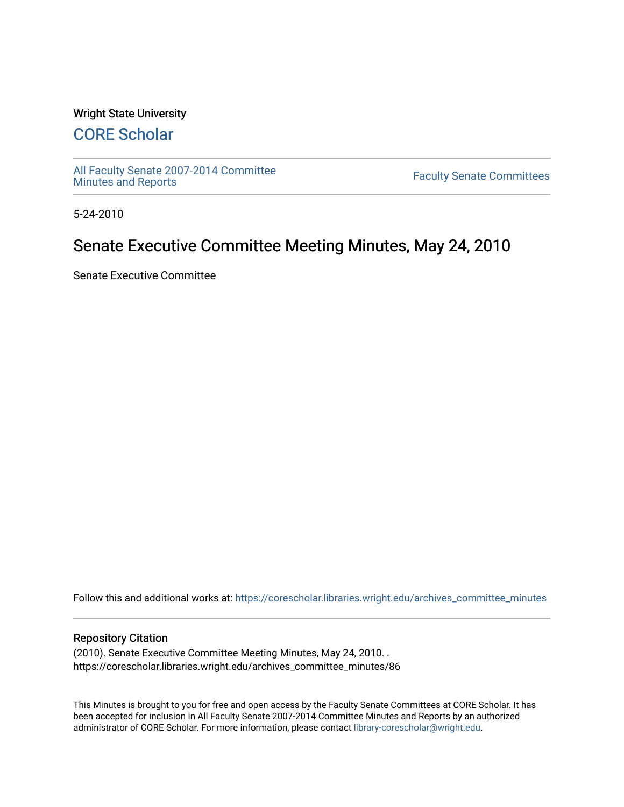### Wright State University

# [CORE Scholar](https://corescholar.libraries.wright.edu/)

[All Faculty Senate 2007-2014 Committee](https://corescholar.libraries.wright.edu/archives_committee_minutes)

**Faculty Senate Committees** 

5-24-2010

## Senate Executive Committee Meeting Minutes, May 24, 2010

Senate Executive Committee

Follow this and additional works at: [https://corescholar.libraries.wright.edu/archives\\_committee\\_minutes](https://corescholar.libraries.wright.edu/archives_committee_minutes?utm_source=corescholar.libraries.wright.edu%2Farchives_committee_minutes%2F86&utm_medium=PDF&utm_campaign=PDFCoverPages) 

#### Repository Citation

(2010). Senate Executive Committee Meeting Minutes, May 24, 2010. . https://corescholar.libraries.wright.edu/archives\_committee\_minutes/86

This Minutes is brought to you for free and open access by the Faculty Senate Committees at CORE Scholar. It has been accepted for inclusion in All Faculty Senate 2007-2014 Committee Minutes and Reports by an authorized administrator of CORE Scholar. For more information, please contact [library-corescholar@wright.edu.](mailto:library-corescholar@wright.edu)